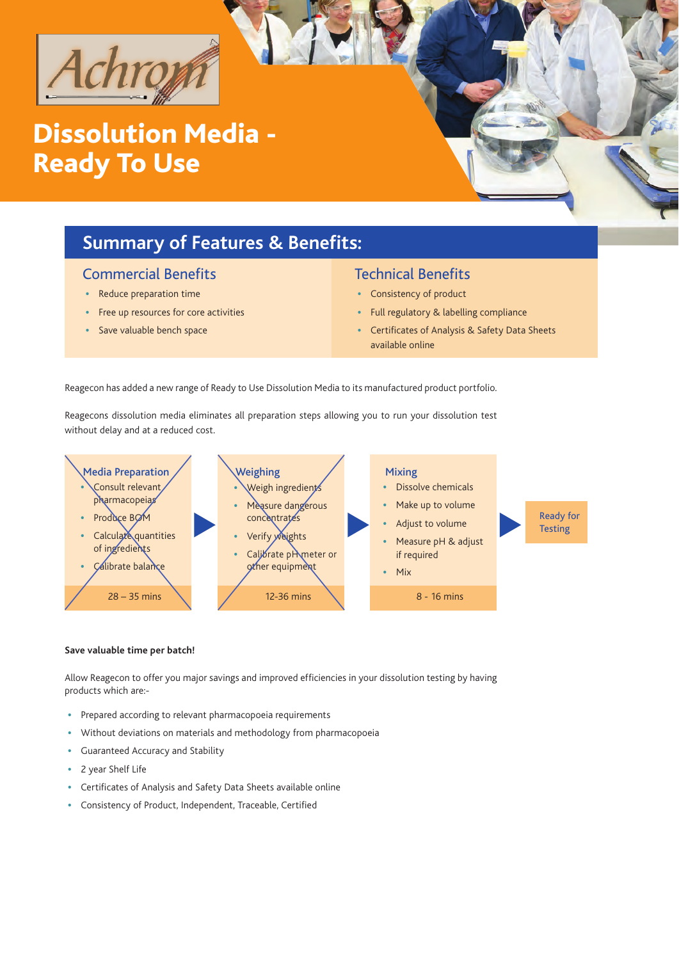

# Dissolution Media - Ready To Use

## **Summary of Features & Benefits:**

### Commercial Benefits

- Reduce preparation time
- Free up resources for core activities
- Save valuable bench space

### Technical Benefits

- Consistency of product
- Full regulatory & labelling compliance
- Certificates of Analysis & Safety Data Sheets available online

Reagecon has added a new range of Ready to Use Dissolution Media to its manufactured product portfolio.

Reagecons dissolution media eliminates all preparation steps allowing you to run your dissolution test without delay and at a reduced cost.



#### **Save valuable time per batch!**

Allow Reagecon to offer you major savings and improved efficiencies in your dissolution testing by having products which are:-

- Prepared according to relevant pharmacopoeia requirements
- Without deviations on materials and methodology from pharmacopoeia
- Guaranteed Accuracy and Stability
- 2 year Shelf Life
- Certificates of Analysis and Safety Data Sheets available online
- Consistency of Product, Independent, Traceable, Certified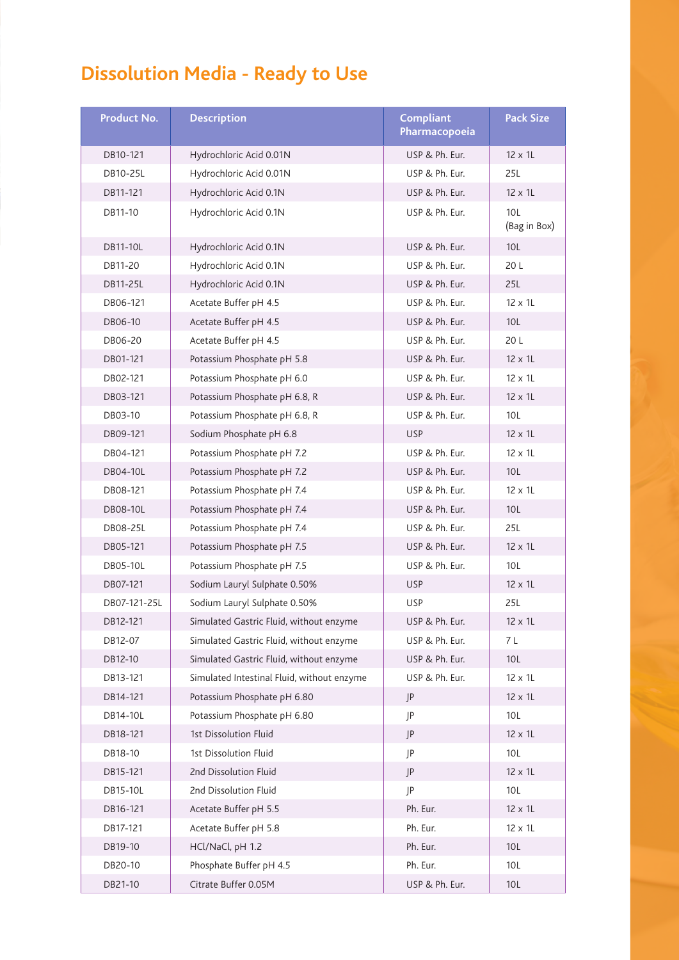# **Dissolution Media - Ready to Use**

| <b>Product No.</b> | <b>Description</b>                         | <b>Compliant</b><br>Pharmacopoeia | <b>Pack Size</b>    |
|--------------------|--------------------------------------------|-----------------------------------|---------------------|
| DB10-121           | Hydrochloric Acid 0.01N                    | USP & Ph. Eur.                    | $12 \times 11$      |
| DB10-25L           | Hydrochloric Acid 0.01N                    | USP & Ph. Eur.                    | 25L                 |
| DB11-121           | Hydrochloric Acid 0.1N                     | USP & Ph. Eur.                    | 12 x 1L             |
| DB11-10            | Hydrochloric Acid 0.1N                     | USP & Ph. Eur.                    | 10L<br>(Bag in Box) |
| <b>DB11-10L</b>    | Hydrochloric Acid 0.1N                     | USP & Ph. Eur.                    | 10L                 |
| DB11-20            | Hydrochloric Acid 0.1N                     | USP & Ph. Eur.                    | 20 L                |
| DB11-25L           | Hydrochloric Acid 0.1N                     | USP & Ph. Eur.                    | 25L                 |
| DB06-121           | Acetate Buffer pH 4.5                      | USP & Ph. Eur.                    | $12 \times 11$      |
| DB06-10            | Acetate Buffer pH 4.5                      | USP & Ph. Eur.                    | 10L                 |
| DB06-20            | Acetate Buffer pH 4.5                      | USP & Ph. Eur.                    | 20 L                |
| DB01-121           | Potassium Phosphate pH 5.8                 | USP & Ph. Eur.                    | 12 x 1L             |
| DB02-121           | Potassium Phosphate pH 6.0                 | USP & Ph. Eur.                    | $12 \times 11$      |
| DB03-121           | Potassium Phosphate pH 6.8, R              | USP & Ph. Eur.                    | 12 x 1L             |
| DB03-10            | Potassium Phosphate pH 6.8, R              | USP & Ph. Eur.                    | 10L                 |
| DB09-121           | Sodium Phosphate pH 6.8                    | <b>USP</b>                        | 12 x 1L             |
| DB04-121           | Potassium Phosphate pH 7.2                 | USP & Ph. Eur.                    | $12 \times 11$      |
| <b>DB04-10L</b>    | Potassium Phosphate pH 7.2                 | USP & Ph. Eur.                    | 10 <sub>L</sub>     |
| DB08-121           | Potassium Phosphate pH 7.4                 | USP & Ph. Eur.                    | $12 \times 11$      |
| DB08-10L           | Potassium Phosphate pH 7.4                 | USP & Ph. Eur.                    | 10L                 |
| DB08-25L           | Potassium Phosphate pH 7.4                 | USP & Ph. Eur.                    | 25L                 |
| DB05-121           | Potassium Phosphate pH 7.5                 | USP & Ph. Eur.                    | 12 x 1L             |
| <b>DB05-10L</b>    | Potassium Phosphate pH 7.5                 | USP & Ph. Eur.                    | 10L                 |
| DB07-121           | Sodium Lauryl Sulphate 0.50%               | <b>USP</b>                        | 12 x 1L             |
| DB07-121-25L       | Sodium Lauryl Sulphate 0.50%               | <b>USP</b>                        | 25L                 |
| DB12-121           | Simulated Gastric Fluid, without enzyme    | USP & Ph. Eur.                    | $12 \times 11$      |
| DB12-07            | Simulated Gastric Fluid, without enzyme    | USP & Ph. Eur.                    | 7 L                 |
| DB12-10            | Simulated Gastric Fluid, without enzyme    | USP & Ph. Eur.                    | 10L                 |
| DB13-121           | Simulated Intestinal Fluid, without enzyme | USP & Ph. Eur.                    | 12 x 1L             |
| DB14-121           | Potassium Phosphate pH 6.80                | JP                                | $12 \times 11$      |
| DB14-10L           | Potassium Phosphate pH 6.80                | P                                 | 10L                 |
| DB18-121           | 1st Dissolution Fluid                      | JP                                | 12 x 1L             |
| DB18-10            | 1st Dissolution Fluid                      | JP                                | 10L                 |
| DB15-121           | 2nd Dissolution Fluid                      | JP                                | $12 \times 11$      |
| DB15-10L           | 2nd Dissolution Fluid                      | JP                                | 10L                 |
| DB16-121           | Acetate Buffer pH 5.5                      | Ph. Eur.                          | 12 x 1L             |
| DB17-121           | Acetate Buffer pH 5.8                      | Ph. Eur.                          | 12 x 1L             |
| DB19-10            | HCl/NaCl, pH 1.2                           | Ph. Eur.                          | 10L                 |
| DB20-10            | Phosphate Buffer pH 4.5                    | Ph. Eur.                          | 10L                 |
| DB21-10            | Citrate Buffer 0.05M                       | USP & Ph. Eur.                    | 10L                 |